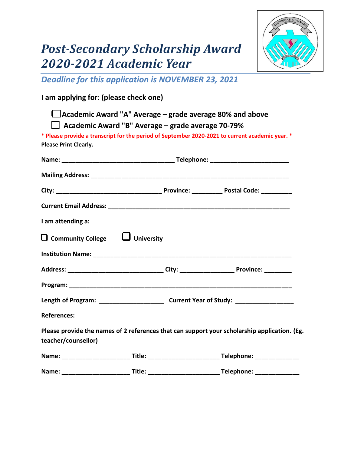## *Post-Secondary Scholarship Award 2020-2021 Academic Year*



*Deadline for this application is NOVEMBER 23, 2021*

## **I am applying for**: **(please check one)**

|                                            | Academic Award "A" Average – grade average 80% and above |                                                                                                 |  |  |  |
|--------------------------------------------|----------------------------------------------------------|-------------------------------------------------------------------------------------------------|--|--|--|
|                                            | Academic Award "B" Average – grade average 70-79%        |                                                                                                 |  |  |  |
|                                            |                                                          | * Please provide a transcript for the period of September 2020-2021 to current academic year. * |  |  |  |
| <b>Please Print Clearly.</b>               |                                                          |                                                                                                 |  |  |  |
|                                            |                                                          |                                                                                                 |  |  |  |
|                                            |                                                          |                                                                                                 |  |  |  |
|                                            |                                                          |                                                                                                 |  |  |  |
|                                            |                                                          |                                                                                                 |  |  |  |
| I am attending a:                          |                                                          |                                                                                                 |  |  |  |
| $\Box$ Community College $\Box$ University |                                                          |                                                                                                 |  |  |  |
|                                            |                                                          |                                                                                                 |  |  |  |
|                                            |                                                          |                                                                                                 |  |  |  |
|                                            |                                                          |                                                                                                 |  |  |  |
|                                            |                                                          |                                                                                                 |  |  |  |
| <b>References:</b>                         |                                                          |                                                                                                 |  |  |  |
|                                            |                                                          | Please provide the names of 2 references that can support your scholarship application. (Eg.    |  |  |  |
| teacher/counsellor)                        |                                                          |                                                                                                 |  |  |  |
|                                            |                                                          |                                                                                                 |  |  |  |
|                                            |                                                          |                                                                                                 |  |  |  |